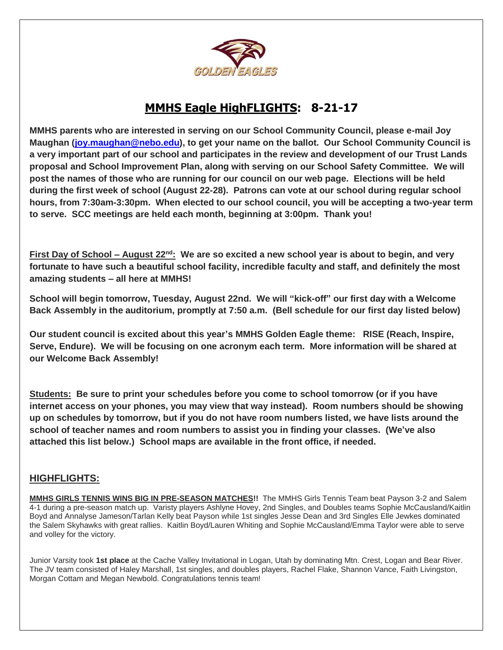

### **MMHS Eagle HighFLIGHTS: 8-21-17**

**MMHS parents who are interested in serving on our School Community Council, please e-mail Joy Maughan [\(joy.maughan@nebo.edu\)](mailto:joy.maughan@nebo.edu), to get your name on the ballot. Our School Community Council is a very important part of our school and participates in the review and development of our Trust Lands proposal and School Improvement Plan, along with serving on our School Safety Committee. We will post the names of those who are running for our council on our web page. Elections will be held during the first week of school (August 22-28). Patrons can vote at our school during regular school hours, from 7:30am-3:30pm. When elected to our school council, you will be accepting a two-year term to serve. SCC meetings are held each month, beginning at 3:00pm. Thank you!**

**First Day of School – August 22nd: We are so excited a new school year is about to begin, and very fortunate to have such a beautiful school facility, incredible faculty and staff, and definitely the most amazing students – all here at MMHS!** 

**School will begin tomorrow, Tuesday, August 22nd. We will "kick-off" our first day with a Welcome Back Assembly in the auditorium, promptly at 7:50 a.m. (Bell schedule for our first day listed below)**

**Our student council is excited about this year's MMHS Golden Eagle theme: RISE (Reach, Inspire, Serve, Endure). We will be focusing on one acronym each term. More information will be shared at our Welcome Back Assembly!**

**Students: Be sure to print your schedules before you come to school tomorrow (or if you have internet access on your phones, you may view that way instead). Room numbers should be showing up on schedules by tomorrow, but if you do not have room numbers listed, we have lists around the school of teacher names and room numbers to assist you in finding your classes. (We've also attached this list below.) School maps are available in the front office, if needed.** 

### **HIGHFLIGHTS:**

**MMHS GIRLS TENNIS WINS BIG IN PRE-SEASON MATCHES!!** The MMHS Girls Tennis Team beat Payson 3-2 and Salem 4-1 during a pre-season match up. Varisty players Ashlyne Hovey, 2nd Singles, and Doubles teams Sophie McCausland/Kaitlin Boyd and Annalyse Jameson/Tarlan Kelly beat Payson while 1st singles Jesse Dean and 3rd Singles Elle Jewkes dominated the Salem Skyhawks with great rallies. Kaitlin Boyd/Lauren Whiting and Sophie McCausland/Emma Taylor were able to serve and volley for the victory.

Junior Varsity took **1st place** at the Cache Valley Invitational in Logan, Utah by dominating Mtn. Crest, Logan and Bear River. The JV team consisted of Haley Marshall, 1st singles, and doubles players, Rachel Flake, Shannon Vance, Faith Livingston, Morgan Cottam and Megan Newbold. Congratulations tennis team!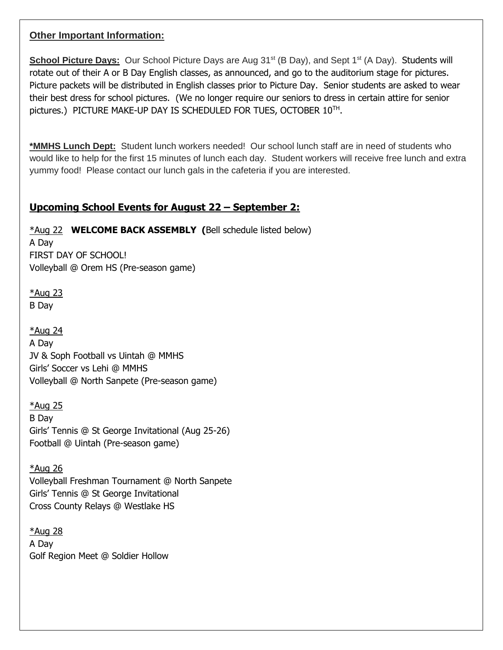### **Other Important Information:**

**School Picture Days:** Our School Picture Days are Aug 31<sup>st</sup> (B Day), and Sept 1<sup>st</sup> (A Day). Students will rotate out of their A or B Day English classes, as announced, and go to the auditorium stage for pictures. Picture packets will be distributed in English classes prior to Picture Day. Senior students are asked to wear their best dress for school pictures. (We no longer require our seniors to dress in certain attire for senior pictures.) PICTURE MAKE-UP DAY IS SCHEDULED FOR TUES, OCTOBER 10TH .

**\*MMHS Lunch Dept:** Student lunch workers needed! Our school lunch staff are in need of students who would like to help for the first 15 minutes of lunch each day. Student workers will receive free lunch and extra yummy food! Please contact our lunch gals in the cafeteria if you are interested.

### **Upcoming School Events for August 22 – September 2:**

\*Aug 22 **WELCOME BACK ASSEMBLY (**Bell schedule listed below) A Day

FIRST DAY OF SCHOOL! Volleyball @ Orem HS (Pre-season game)

\*Aug 23 B Day

\*Aug 24 A Day JV & Soph Football vs Uintah @ MMHS Girls' Soccer vs Lehi @ MMHS Volleyball @ North Sanpete (Pre-season game)

\*Aug 25 B Day Girls' Tennis @ St George Invitational (Aug 25-26) Football @ Uintah (Pre-season game)

\*Aug 26 Volleyball Freshman Tournament @ North Sanpete Girls' Tennis @ St George Invitational Cross County Relays @ Westlake HS

\*Aug 28 A Day Golf Region Meet @ Soldier Hollow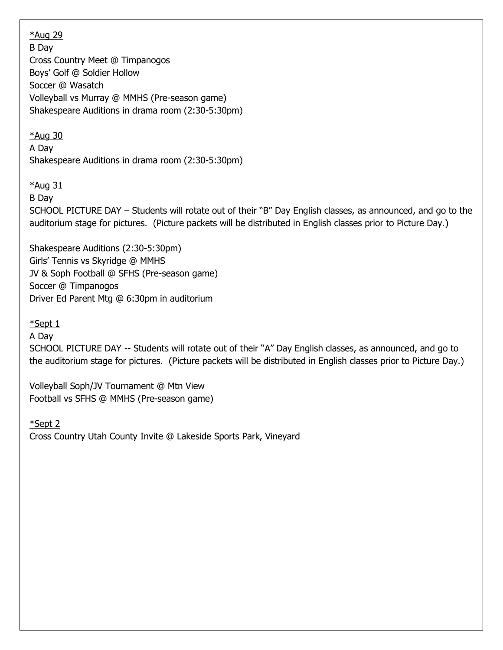\*Aug 29 B Day Cross Country Meet @ Timpanogos Boys' Golf @ Soldier Hollow Soccer @ Wasatch Volleyball vs Murray @ MMHS (Pre-season game) Shakespeare Auditions in drama room (2:30-5:30pm)

### \*Aug 30

A Day Shakespeare Auditions in drama room (2:30-5:30pm)

#### $*$ Aug 31

B Day

SCHOOL PICTURE DAY – Students will rotate out of their "B" Day English classes, as announced, and go to the auditorium stage for pictures. (Picture packets will be distributed in English classes prior to Picture Day.)

Shakespeare Auditions (2:30-5:30pm) Girls' Tennis vs Skyridge @ MMHS JV & Soph Football @ SFHS (Pre-season game) Soccer @ Timpanogos Driver Ed Parent Mtg @ 6:30pm in auditorium

\*Sept 1

A Day

SCHOOL PICTURE DAY -- Students will rotate out of their "A" Day English classes, as announced, and go to the auditorium stage for pictures. (Picture packets will be distributed in English classes prior to Picture Day.)

Volleyball Soph/JV Tournament @ Mtn View Football vs SFHS @ MMHS (Pre-season game)

\*Sept 2 Cross Country Utah County Invite @ Lakeside Sports Park, Vineyard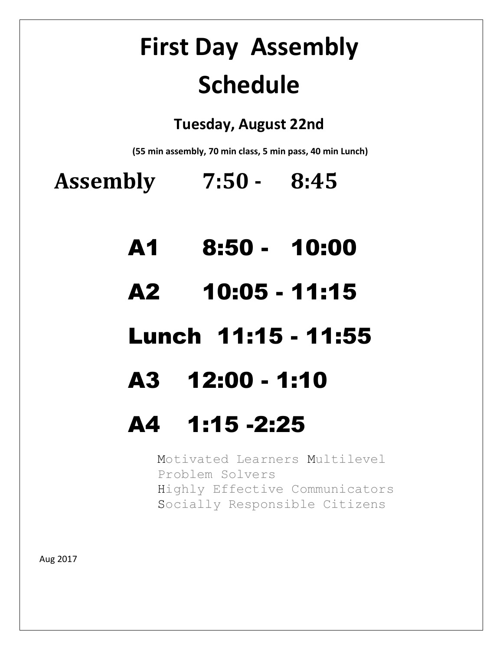# **First Day Assembly Schedule**

### **Tuesday, August 22nd**

**(55 min assembly, 70 min class, 5 min pass, 40 min Lunch)**

**Assembly 7:50 - 8:45**

- A1 8:50 10:00
- A2 10:05 11:15

## Lunch 11:15 - 11:55

## A3 12:00 - 1:10

## A4 1:15 -2:25

Motivated Learners Multilevel Problem Solvers Highly Effective Communicators Socially Responsible Citizens

Aug 2017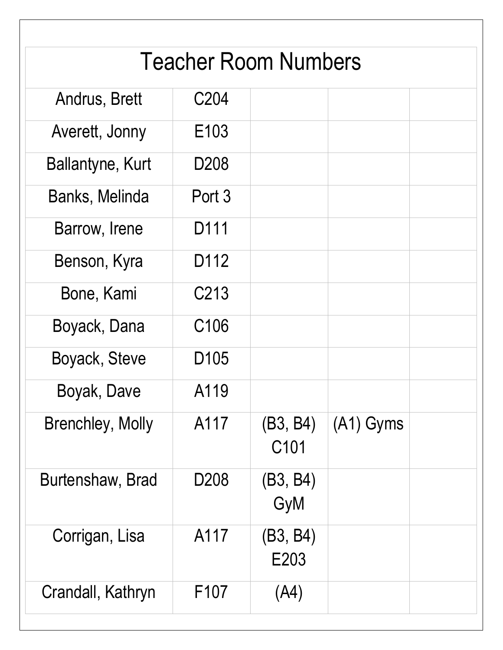| <b>Teacher Room Numbers</b> |                   |                  |             |  |
|-----------------------------|-------------------|------------------|-------------|--|
| Andrus, Brett               | C <sub>204</sub>  |                  |             |  |
| Averett, Jonny              | E <sub>103</sub>  |                  |             |  |
| Ballantyne, Kurt            | D <sub>208</sub>  |                  |             |  |
| Banks, Melinda              | Port 3            |                  |             |  |
| Barrow, Irene               | D <sub>111</sub>  |                  |             |  |
| Benson, Kyra                | D <sub>112</sub>  |                  |             |  |
| Bone, Kami                  | C <sub>2</sub> 13 |                  |             |  |
| Boyack, Dana                | C <sub>106</sub>  |                  |             |  |
| Boyack, Steve               | D <sub>105</sub>  |                  |             |  |
| Boyak, Dave                 | A119              |                  |             |  |
| <b>Brenchley, Molly</b>     | A117              | (B3, B4)<br>C101 | $(A1)$ Gyms |  |
| Burtenshaw, Brad            | D <sub>208</sub>  | (B3, B4)<br>GyM  |             |  |
| Corrigan, Lisa              | A117              | (B3, B4)<br>E203 |             |  |
| Crandall, Kathryn           | F <sub>107</sub>  | (A4)             |             |  |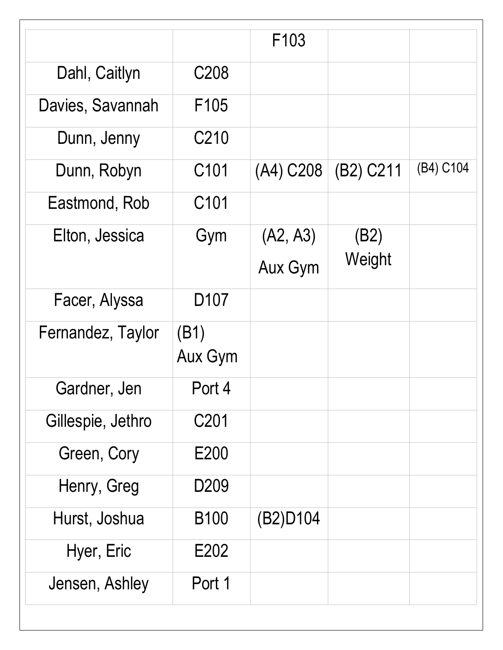|                   |                  | F <sub>103</sub> |           |           |
|-------------------|------------------|------------------|-----------|-----------|
| Dahl, Caitlyn     | C <sub>208</sub> |                  |           |           |
| Davies, Savannah  | F <sub>105</sub> |                  |           |           |
| Dunn, Jenny       | C210             |                  |           |           |
| Dunn, Robyn       | C <sub>101</sub> | (A4) C208        | (B2) C211 | (B4) C104 |
| Eastmond, Rob     | C <sub>101</sub> |                  |           |           |
| Elton, Jessica    | Gym              | (A2, A3)         | (B2)      |           |
|                   |                  | <b>Aux Gym</b>   | Weight    |           |
| Facer, Alyssa     | D <sub>107</sub> |                  |           |           |
| Fernandez, Taylor | (B1)<br>Aux Gym  |                  |           |           |
| Gardner, Jen      | Port 4           |                  |           |           |
| Gillespie, Jethro | C201             |                  |           |           |
| Green, Cory       | E200             |                  |           |           |
| Henry, Greg       | D <sub>209</sub> |                  |           |           |
| Hurst, Joshua     | <b>B100</b>      | (B2)D104         |           |           |
| Hyer, Eric        | E202             |                  |           |           |
| Jensen, Ashley    | Port 1           |                  |           |           |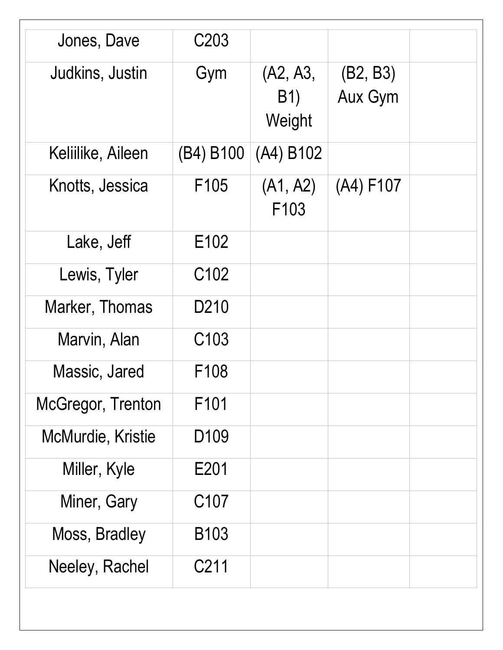| Jones, Dave       | C <sub>203</sub>  |                                  |                            |  |
|-------------------|-------------------|----------------------------------|----------------------------|--|
| Judkins, Justin   | Gym               | (A2, A3,<br><b>B1)</b><br>Weight | (B2, B3)<br><b>Aux Gym</b> |  |
| Keliilike, Aileen | (B4) B100         | (A4) B102                        |                            |  |
| Knotts, Jessica   | F <sub>105</sub>  | (A1, A2)<br>F <sub>103</sub>     | (A4) F107                  |  |
| Lake, Jeff        | E102              |                                  |                            |  |
| Lewis, Tyler      | C <sub>102</sub>  |                                  |                            |  |
| Marker, Thomas    | D <sub>2</sub> 10 |                                  |                            |  |
| Marvin, Alan      | C <sub>103</sub>  |                                  |                            |  |
| Massic, Jared     | F <sub>108</sub>  |                                  |                            |  |
| McGregor, Trenton | F <sub>101</sub>  |                                  |                            |  |
| McMurdie, Kristie | D <sub>109</sub>  |                                  |                            |  |
| Miller, Kyle      | E201              |                                  |                            |  |
| Miner, Gary       | C <sub>107</sub>  |                                  |                            |  |
| Moss, Bradley     | <b>B103</b>       |                                  |                            |  |
| Neeley, Rachel    | C <sub>2</sub> 11 |                                  |                            |  |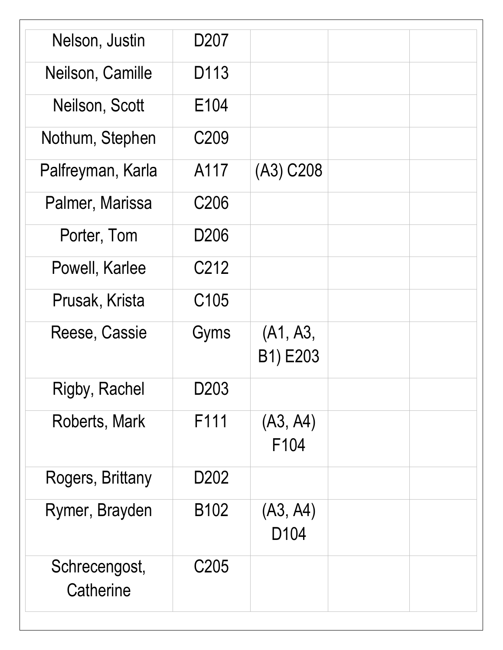| Nelson, Justin             | D <sub>20</sub> 7 |                              |  |
|----------------------------|-------------------|------------------------------|--|
| Neilson, Camille           | D113              |                              |  |
| Neilson, Scott             | E <sub>104</sub>  |                              |  |
| Nothum, Stephen            | C <sub>209</sub>  |                              |  |
| Palfreyman, Karla          | A117              | (A3) C208                    |  |
| Palmer, Marissa            | C <sub>206</sub>  |                              |  |
| Porter, Tom                | D <sub>206</sub>  |                              |  |
| Powell, Karlee             | C <sub>2</sub> 12 |                              |  |
| Prusak, Krista             | C <sub>105</sub>  |                              |  |
| Reese, Cassie              | Gyms              | (A1, A3,<br>B1) E203         |  |
| <b>Rigby, Rachel</b>       | D203              |                              |  |
| Roberts, Mark              | F111              | (A3, A4)<br>F104             |  |
| Rogers, Brittany           | D <sub>202</sub>  |                              |  |
| Rymer, Brayden             | B <sub>102</sub>  | (A3, A4)<br>D <sub>104</sub> |  |
| Schrecengost,<br>Catherine | C <sub>205</sub>  |                              |  |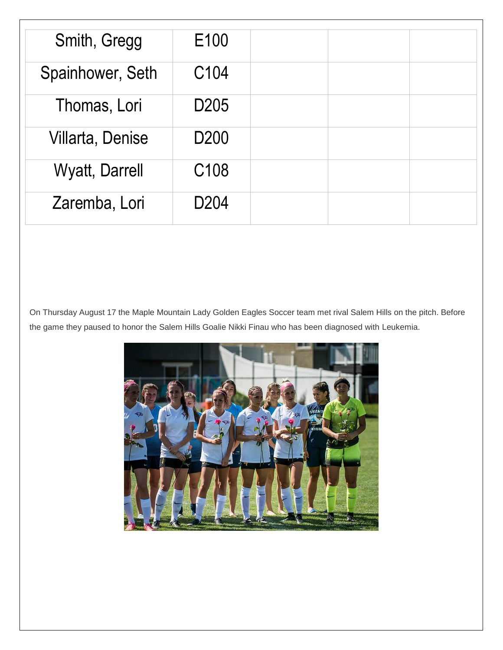| Smith, Gregg          | E100             |  |  |
|-----------------------|------------------|--|--|
| Spainhower, Seth      | C104             |  |  |
| Thomas, Lori          | D <sub>205</sub> |  |  |
| Villarta, Denise      | D <sub>200</sub> |  |  |
| <b>Wyatt, Darrell</b> | C108             |  |  |
| Zaremba, Lori         | D <sub>204</sub> |  |  |

On Thursday August 17 the Maple Mountain Lady Golden Eagles Soccer team met rival Salem Hills on the pitch. Before the game they paused to honor the Salem Hills Goalie Nikki Finau who has been diagnosed with Leukemia.